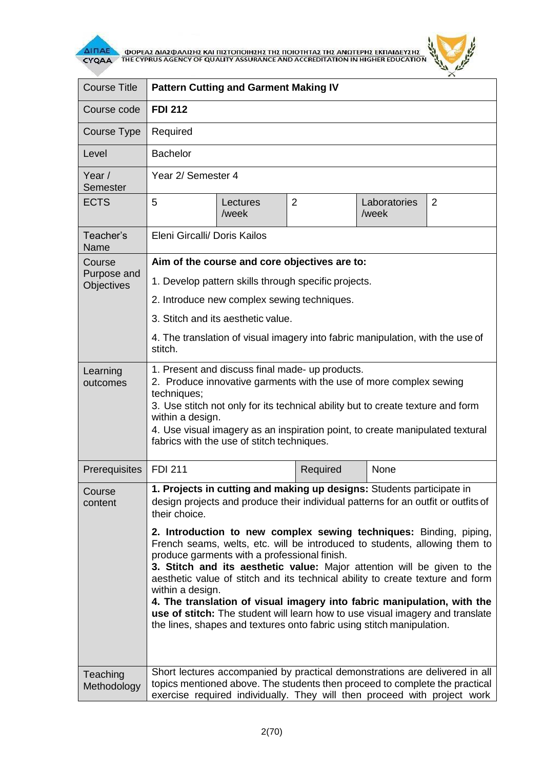

 $\overline{\Delta}$  (MOPEA) ANALO ANALO KALIBET ON THE CYPRUS AGENCY OF QUALITY ASSURANCE AND ACCREDITATION IN HIGHER EDUCATION



| <b>Course Title</b>       | <b>Pattern Cutting and Garment Making IV</b>                                                                                                                                                                                                                                                                                                                                                                                                                                                                                                                                                                                                                                                                                                                                                          |                   |                |                       |                |  |
|---------------------------|-------------------------------------------------------------------------------------------------------------------------------------------------------------------------------------------------------------------------------------------------------------------------------------------------------------------------------------------------------------------------------------------------------------------------------------------------------------------------------------------------------------------------------------------------------------------------------------------------------------------------------------------------------------------------------------------------------------------------------------------------------------------------------------------------------|-------------------|----------------|-----------------------|----------------|--|
| Course code               | <b>FDI 212</b>                                                                                                                                                                                                                                                                                                                                                                                                                                                                                                                                                                                                                                                                                                                                                                                        |                   |                |                       |                |  |
| Course Type               | Required                                                                                                                                                                                                                                                                                                                                                                                                                                                                                                                                                                                                                                                                                                                                                                                              |                   |                |                       |                |  |
| Level                     | <b>Bachelor</b>                                                                                                                                                                                                                                                                                                                                                                                                                                                                                                                                                                                                                                                                                                                                                                                       |                   |                |                       |                |  |
| Year /<br>Semester        | Year 2/ Semester 4                                                                                                                                                                                                                                                                                                                                                                                                                                                                                                                                                                                                                                                                                                                                                                                    |                   |                |                       |                |  |
| <b>ECTS</b>               | 5                                                                                                                                                                                                                                                                                                                                                                                                                                                                                                                                                                                                                                                                                                                                                                                                     | Lectures<br>/week | $\overline{2}$ | Laboratories<br>/week | $\overline{2}$ |  |
| Teacher's<br>Name         | Eleni Gircalli/ Doris Kailos                                                                                                                                                                                                                                                                                                                                                                                                                                                                                                                                                                                                                                                                                                                                                                          |                   |                |                       |                |  |
| Course                    | Aim of the course and core objectives are to:                                                                                                                                                                                                                                                                                                                                                                                                                                                                                                                                                                                                                                                                                                                                                         |                   |                |                       |                |  |
| Purpose and<br>Objectives | 1. Develop pattern skills through specific projects.                                                                                                                                                                                                                                                                                                                                                                                                                                                                                                                                                                                                                                                                                                                                                  |                   |                |                       |                |  |
|                           | 2. Introduce new complex sewing techniques.                                                                                                                                                                                                                                                                                                                                                                                                                                                                                                                                                                                                                                                                                                                                                           |                   |                |                       |                |  |
|                           | 3. Stitch and its aesthetic value.                                                                                                                                                                                                                                                                                                                                                                                                                                                                                                                                                                                                                                                                                                                                                                    |                   |                |                       |                |  |
|                           | 4. The translation of visual imagery into fabric manipulation, with the use of<br>stitch.                                                                                                                                                                                                                                                                                                                                                                                                                                                                                                                                                                                                                                                                                                             |                   |                |                       |                |  |
| Learning<br>outcomes      | 1. Present and discuss final made- up products.<br>2. Produce innovative garments with the use of more complex sewing<br>techniques;<br>3. Use stitch not only for its technical ability but to create texture and form<br>within a design.<br>4. Use visual imagery as an inspiration point, to create manipulated textural<br>fabrics with the use of stitch techniques.                                                                                                                                                                                                                                                                                                                                                                                                                            |                   |                |                       |                |  |
| Prerequisites             | <b>FDI 211</b>                                                                                                                                                                                                                                                                                                                                                                                                                                                                                                                                                                                                                                                                                                                                                                                        |                   | Required       | None                  |                |  |
| Course<br>content         | 1. Projects in cutting and making up designs: Students participate in<br>design projects and produce their individual patterns for an outfit or outfits of<br>their choice.<br>2. Introduction to new complex sewing techniques: Binding, piping,<br>French seams, welts, etc. will be introduced to students, allowing them to<br>produce garments with a professional finish.<br>3. Stitch and its aesthetic value: Major attention will be given to the<br>aesthetic value of stitch and its technical ability to create texture and form<br>within a design.<br>4. The translation of visual imagery into fabric manipulation, with the<br>use of stitch: The student will learn how to use visual imagery and translate<br>the lines, shapes and textures onto fabric using stitch manipulation. |                   |                |                       |                |  |
|                           |                                                                                                                                                                                                                                                                                                                                                                                                                                                                                                                                                                                                                                                                                                                                                                                                       |                   |                |                       |                |  |
| Teaching<br>Methodology   | Short lectures accompanied by practical demonstrations are delivered in all<br>topics mentioned above. The students then proceed to complete the practical<br>exercise required individually. They will then proceed with project work                                                                                                                                                                                                                                                                                                                                                                                                                                                                                                                                                                |                   |                |                       |                |  |